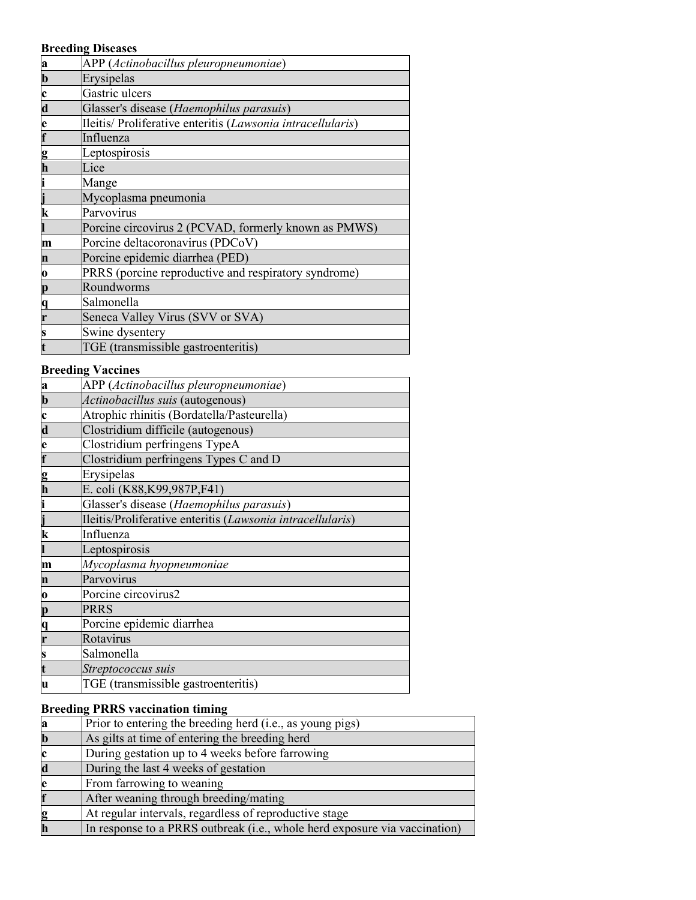#### **Breeding Diseases**

| a                       | APP (Actinobacillus pleuropneumoniae)                       |
|-------------------------|-------------------------------------------------------------|
| $\mathbf b$             | Erysipelas                                                  |
| c                       | Gastric ulcers                                              |
| $\overline{\mathbf{d}}$ | Glasser's disease (Haemophilus parasuis)                    |
| e                       | Ileitis/ Proliferative enteritis (Lawsonia intracellularis) |
|                         | Influenza                                                   |
| g                       | Leptospirosis                                               |
| h                       | Lice                                                        |
|                         | Mange                                                       |
|                         | Mycoplasma pneumonia                                        |
| k                       | Parvovirus                                                  |
|                         | Porcine circovirus 2 (PCVAD, formerly known as PMWS)        |
| m                       | Porcine deltacoronavirus (PDCoV)                            |
| n                       | Porcine epidemic diarrhea (PED)                             |
| 0                       | PRRS (porcine reproductive and respiratory syndrome)        |
| p                       | Roundworms                                                  |
| q                       | Salmonella                                                  |
|                         | Seneca Valley Virus (SVV or SVA)                            |
|                         | Swine dysentery                                             |
|                         | TGE (transmissible gastroenteritis)                         |

#### **Breeding Vaccines**

| $\bf{a}$                | APP (Actinobacillus pleuropneumoniae)                      |
|-------------------------|------------------------------------------------------------|
| $\mathbf b$             | Actinobacillus suis (autogenous)                           |
| $\mathbf c$             | Atrophic rhinitis (Bordatella/Pasteurella)                 |
| $\overline{\mathbf{d}}$ | Clostridium difficile (autogenous)                         |
|                         | Clostridium perfringens TypeA                              |
| e<br>f                  | Clostridium perfringens Types C and D                      |
|                         | Erysipelas                                                 |
| g<br>h                  | E. coli (K88, K99, 987P, F41)                              |
|                         | Glasser's disease (Haemophilus parasuis)                   |
|                         | Ileitis/Proliferative enteritis (Lawsonia intracellularis) |
| $\bf k$                 | Influenza                                                  |
|                         | Leptospirosis                                              |
| m                       | Mycoplasma hyopneumoniae                                   |
| $\mathbf n$             | Parvovirus                                                 |
| 0                       | Porcine circovirus2                                        |
| p                       | PRRS                                                       |
| q                       | Porcine epidemic diarrhea                                  |
|                         | Rotavirus                                                  |
| S                       | Salmonella                                                 |
|                         | Streptococcus suis                                         |
| u                       | TGE (transmissible gastroenteritis)                        |

# **Breeding PRRS vaccination timing**

| a  | Prior to entering the breeding herd (i.e., as young pigs)                  |
|----|----------------------------------------------------------------------------|
| b  | As gilts at time of entering the breeding herd                             |
| Іс | During gestation up to 4 weeks before farrowing                            |
| d  | During the last 4 weeks of gestation                                       |
| le | From farrowing to weaning                                                  |
|    | After weaning through breeding/mating                                      |
| g  | At regular intervals, regardless of reproductive stage                     |
| h  | In response to a PRRS outbreak (i.e., whole herd exposure via vaccination) |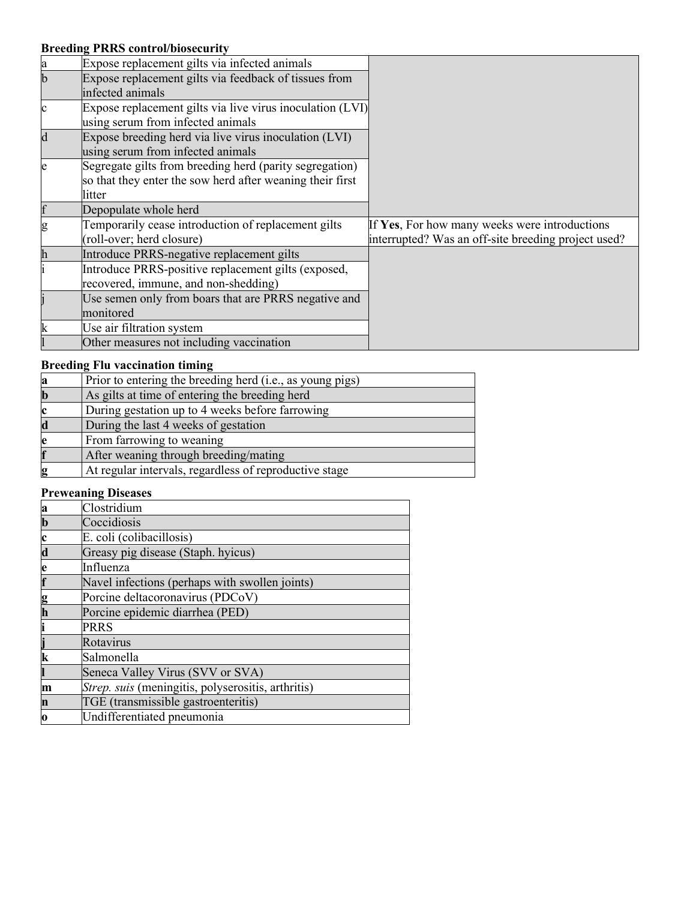## **Breeding PRRS control/biosecurity**

|             | THE COMMON DIODECALL                                      |                                                     |
|-------------|-----------------------------------------------------------|-----------------------------------------------------|
| a           | Expose replacement gilts via infected animals             |                                                     |
| b           | Expose replacement gilts via feedback of tissues from     |                                                     |
|             | infected animals                                          |                                                     |
| C           | Expose replacement gilts via live virus inoculation (LVI) |                                                     |
|             | using serum from infected animals                         |                                                     |
| $\mathbf d$ | Expose breeding herd via live virus inoculation (LVI)     |                                                     |
|             | using serum from infected animals                         |                                                     |
| e           | Segregate gilts from breeding herd (parity segregation)   |                                                     |
|             | so that they enter the sow herd after weaning their first |                                                     |
|             | litter                                                    |                                                     |
|             |                                                           |                                                     |
|             | Depopulate whole herd                                     |                                                     |
|             | Temporarily cease introduction of replacement gilts       | If Yes, For how many weeks were introductions       |
|             | (roll-over; herd closure)                                 | interrupted? Was an off-site breeding project used? |
|             | Introduce PRRS-negative replacement gilts                 |                                                     |
|             | Introduce PRRS-positive replacement gilts (exposed,       |                                                     |
|             | recovered, immune, and non-shedding)                      |                                                     |
|             | Use semen only from boars that are PRRS negative and      |                                                     |
|             | monitored                                                 |                                                     |
|             | Use air filtration system                                 |                                                     |

## **Breeding Flu vaccination timing**

| Prior to entering the breeding herd (i.e., as young pigs) |
|-----------------------------------------------------------|
| As gilts at time of entering the breeding herd            |
| During gestation up to 4 weeks before farrowing           |
| During the last 4 weeks of gestation                      |
| From farrowing to weaning                                 |
| After weaning through breeding/mating                     |
| At regular intervals, regardless of reproductive stage    |

## **Preweaning Diseases**

| a            | Clostridium                                        |
|--------------|----------------------------------------------------|
| $\mathbf{b}$ | Coccidiosis                                        |
| $\mathbf c$  | E. coli (colibacillosis)                           |
| $\mathbf d$  | Greasy pig disease (Staph. hyicus)                 |
| e            | Influenza                                          |
| f            | Navel infections (perhaps with swollen joints)     |
|              | Porcine deltacoronavirus (PDCoV)                   |
| g<br>h       | Porcine epidemic diarrhea (PED)                    |
| i            | <b>PRRS</b>                                        |
|              | Rotavirus                                          |
| k            | Salmonella                                         |
|              | Seneca Valley Virus (SVV or SVA)                   |
| m            | Strep. suis (meningitis, polyserositis, arthritis) |
| n            | TGE (transmissible gastroenteritis)                |
| o            | Undifferentiated pneumonia                         |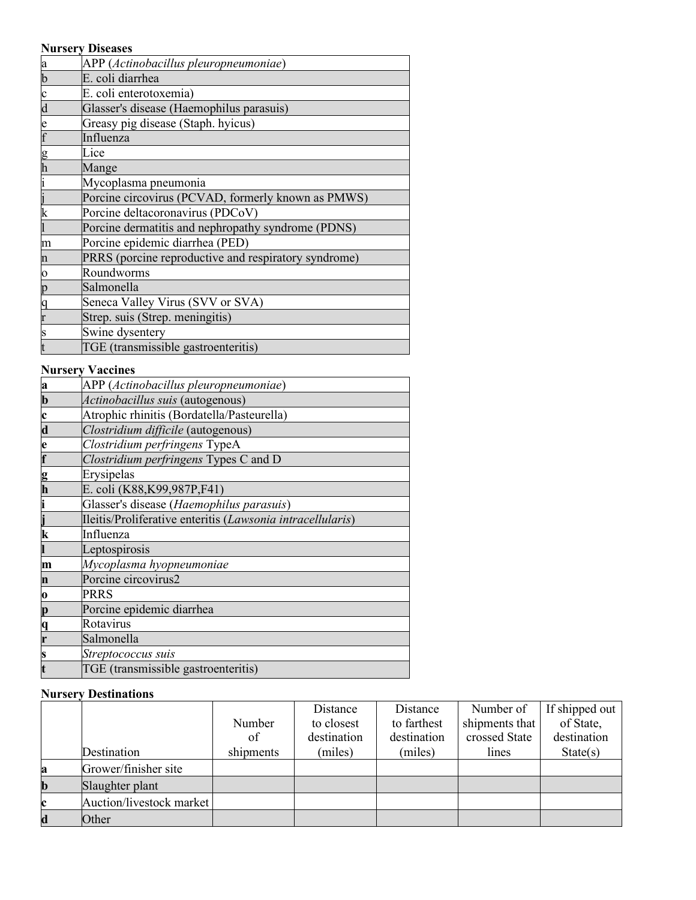| <b>Nursery Diseases</b>                              |
|------------------------------------------------------|
| APP (Actinobacillus pleuropneumoniae)                |
| E. coli diarrhea                                     |
| E. coli enterotoxemia)                               |
| Glasser's disease (Haemophilus parasuis)             |
| Greasy pig disease (Staph. hyicus)                   |
| Influenza                                            |
| Lice                                                 |
| Mange                                                |
| Mycoplasma pneumonia                                 |
| Porcine circovirus (PCVAD, formerly known as PMWS)   |
| Porcine deltacoronavirus (PDCoV)                     |
| Porcine dermatitis and nephropathy syndrome (PDNS)   |
| Porcine epidemic diarrhea (PED)                      |
| PRRS (porcine reproductive and respiratory syndrome) |
| Roundworms                                           |
| Salmonella                                           |
| Seneca Valley Virus (SVV or SVA)                     |
| Strep. suis (Strep. meningitis)                      |
| Swine dysentery                                      |
| TGE (transmissible gastroenteritis)                  |
|                                                      |

#### **Nursery Vaccines**

| APP (Actinobacillus pleuropneumoniae)                      |
|------------------------------------------------------------|
| Actinobacillus suis (autogenous)                           |
| Atrophic rhinitis (Bordatella/Pasteurella)                 |
| Clostridium difficile (autogenous)                         |
| Clostridium perfringens TypeA                              |
| Clostridium perfringens Types C and D                      |
| Erysipelas                                                 |
| E. coli (K88, K99, 987P, F41)                              |
| Glasser's disease (Haemophilus parasuis)                   |
| Ileitis/Proliferative enteritis (Lawsonia intracellularis) |
| Influenza                                                  |
| Leptospirosis                                              |
| Mycoplasma hyopneumoniae                                   |
| Porcine circovirus2                                        |
| PRRS                                                       |
| Porcine epidemic diarrhea                                  |
| Rotavirus                                                  |
| Salmonella                                                 |
|                                                            |
| Streptococcus suis                                         |
|                                                            |

## **Nursery Destinations**

|             |                          |           | Distance    | Distance    | Number of      | If shipped out |
|-------------|--------------------------|-----------|-------------|-------------|----------------|----------------|
|             |                          | Number    | to closest  | to farthest | shipments that | of State,      |
|             |                          | of        | destination | destination | crossed State  | destination    |
|             | Destination              | shipments | (miles)     | (miles)     | lines          | State(s)       |
| a           | Grower/finisher site     |           |             |             |                |                |
| $\mathbf b$ | Slaughter plant          |           |             |             |                |                |
| c           | Auction/livestock market |           |             |             |                |                |
| $\mathbf d$ | Other                    |           |             |             |                |                |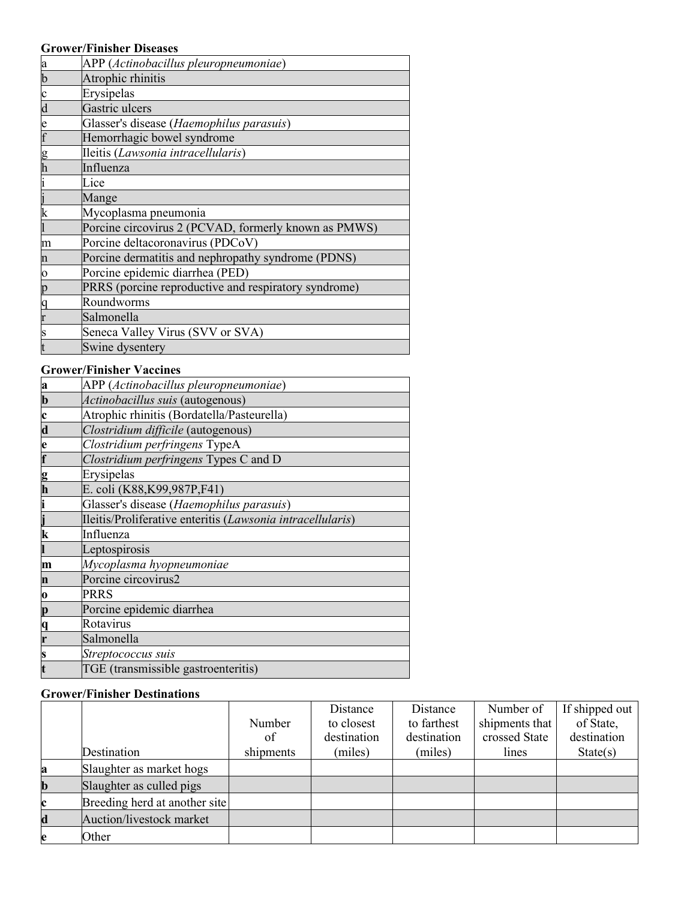# **Grower/Finisher Diseases**

| a                       | APP (Actinobacillus pleuropneumoniae)                |
|-------------------------|------------------------------------------------------|
| b                       | Atrophic rhinitis                                    |
| $\mathbf c$             | Erysipelas                                           |
| $\overline{\mathrm{d}}$ | Gastric ulcers                                       |
| e                       | Glasser's disease (Haemophilus parasuis)             |
| f                       | Hemorrhagic bowel syndrome                           |
| g                       | Ileitis (Lawsonia intracellularis)                   |
| h                       | Influenza                                            |
|                         | Lice                                                 |
|                         | Mange                                                |
| k                       | Mycoplasma pneumonia                                 |
|                         | Porcine circovirus 2 (PCVAD, formerly known as PMWS) |
| m                       | Porcine deltacoronavirus (PDCoV)                     |
| n                       | Porcine dermatitis and nephropathy syndrome (PDNS)   |
| $\mathbf{o}$            | Porcine epidemic diarrhea (PED)                      |
| p                       | PRRS (porcine reproductive and respiratory syndrome) |
| q                       | Roundworms                                           |
|                         | Salmonella                                           |
| S                       | Seneca Valley Virus (SVV or SVA)                     |
|                         | Swine dysentery                                      |

## **Grower/Finisher Vaccines**

| a           | APP (Actinobacillus pleuropneumoniae)                      |
|-------------|------------------------------------------------------------|
| $\mathbf b$ | Actinobacillus suis (autogenous)                           |
| $\mathbf c$ | Atrophic rhinitis (Bordatella/Pasteurella)                 |
| $\mathbf d$ | Clostridium difficile (autogenous)                         |
| e           | Clostridium perfringens TypeA                              |
| f           | Clostridium perfringens Types C and D                      |
|             | Erysipelas                                                 |
| g<br>h      | E. coli (K88, K99, 987P, F41)                              |
|             | Glasser's disease (Haemophilus parasuis)                   |
|             | Ileitis/Proliferative enteritis (Lawsonia intracellularis) |
| k           | Influenza                                                  |
|             | Leptospirosis                                              |
| m           | Mycoplasma hyopneumoniae                                   |
| n           | Porcine circovirus2                                        |
| 0           | PRRS                                                       |
| p           | Porcine epidemic diarrhea                                  |
| q           | Rotavirus                                                  |
| r           | Salmonella                                                 |
|             | Streptococcus suis                                         |
|             | TGE (transmissible gastroenteritis)                        |

#### **Grower/Finisher Destinations**

|             |                               |           | Distance    | Distance    | Number of      | If shipped out |
|-------------|-------------------------------|-----------|-------------|-------------|----------------|----------------|
|             |                               | Number    | to closest  | to farthest | shipments that | of State,      |
|             |                               | of        | destination | destination | crossed State  | destination    |
|             | Destination                   | shipments | (miles)     | (miles)     | lines          | State(s)       |
| a           | Slaughter as market hogs      |           |             |             |                |                |
| $\mathbf b$ | Slaughter as culled pigs      |           |             |             |                |                |
| c           | Breeding herd at another site |           |             |             |                |                |
| $\mathbf d$ | Auction/livestock market      |           |             |             |                |                |
| e           | Other                         |           |             |             |                |                |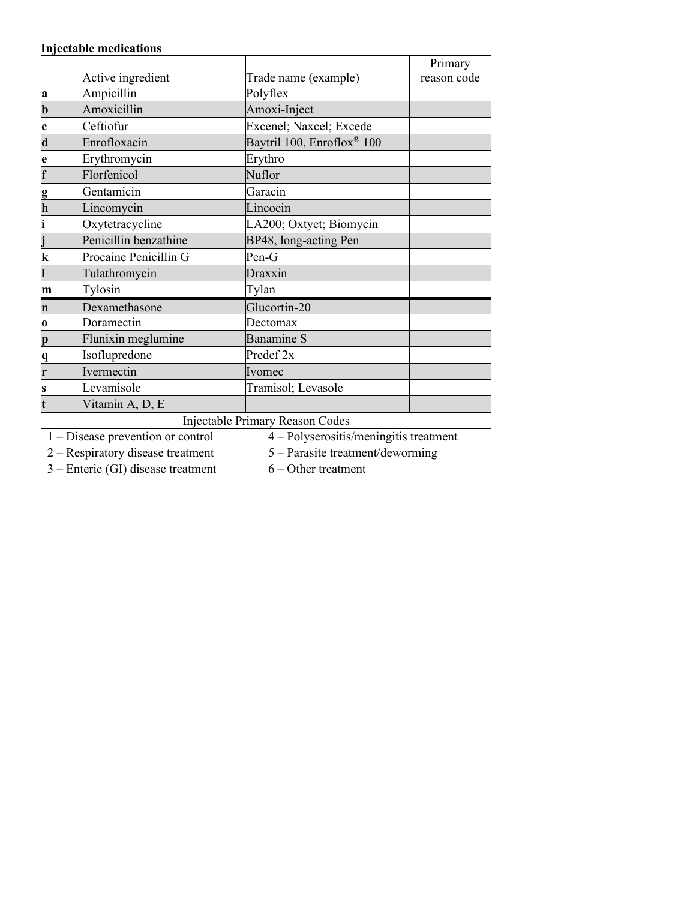## **Injectable medications**

|                                   |                                    |         |                                        | Primary     |  |
|-----------------------------------|------------------------------------|---------|----------------------------------------|-------------|--|
|                                   | Active ingredient                  |         | Trade name (example)                   | reason code |  |
| a                                 | Ampicillin                         |         | Polyflex                               |             |  |
| $\mathbf b$                       | Amoxicillin                        |         | Amoxi-Inject                           |             |  |
| $\mathbf c$                       | Ceftiofur                          |         | Excenel; Naxcel; Excede                |             |  |
| $\mathbf d$                       | Enrofloxacin                       |         | Baytril 100, Enroflox <sup>®</sup> 100 |             |  |
| e                                 | Erythromycin                       |         | Erythro                                |             |  |
| $\overline{\mathbf{f}}$           | Florfenicol                        |         | Nuflor                                 |             |  |
| g                                 | Gentamicin                         |         | Garacin                                |             |  |
| $\overline{\mathbf{h}}$           | Lincomycin                         |         | Lincocin                               |             |  |
| i                                 | Oxytetracycline                    |         | LA200; Oxtyet; Biomycin                |             |  |
| j                                 | Penicillin benzathine              |         | BP48, long-acting Pen                  |             |  |
| $\overline{\mathbf{k}}$           | Procaine Penicillin G              |         | $Pen-G$                                |             |  |
|                                   | Tulathromycin                      | Draxxin |                                        |             |  |
| m                                 | Tylosin                            |         | Tylan                                  |             |  |
| Dexamethasone<br>n                |                                    |         | Glucortin-20                           |             |  |
| o                                 | Doramectin                         |         | Dectomax                               |             |  |
| p                                 | Flunixin meglumine                 |         | <b>Banamine S</b>                      |             |  |
| q                                 | Isoflupredone                      |         | Predef 2x                              |             |  |
| r                                 | Ivermectin                         |         | Ivomec                                 |             |  |
| S                                 | Levamisole                         |         | Tramisol; Levasole                     |             |  |
| Vitamin A, D, E                   |                                    |         |                                        |             |  |
|                                   |                                    |         | <b>Injectable Primary Reason Codes</b> |             |  |
| 1 – Disease prevention or control |                                    |         | 4 - Polyserositis/meningitis treatment |             |  |
|                                   | 2 - Respiratory disease treatment  |         | 5 - Parasite treatment/deworming       |             |  |
|                                   | 3 – Enteric (GI) disease treatment |         | $6 -$ Other treatment                  |             |  |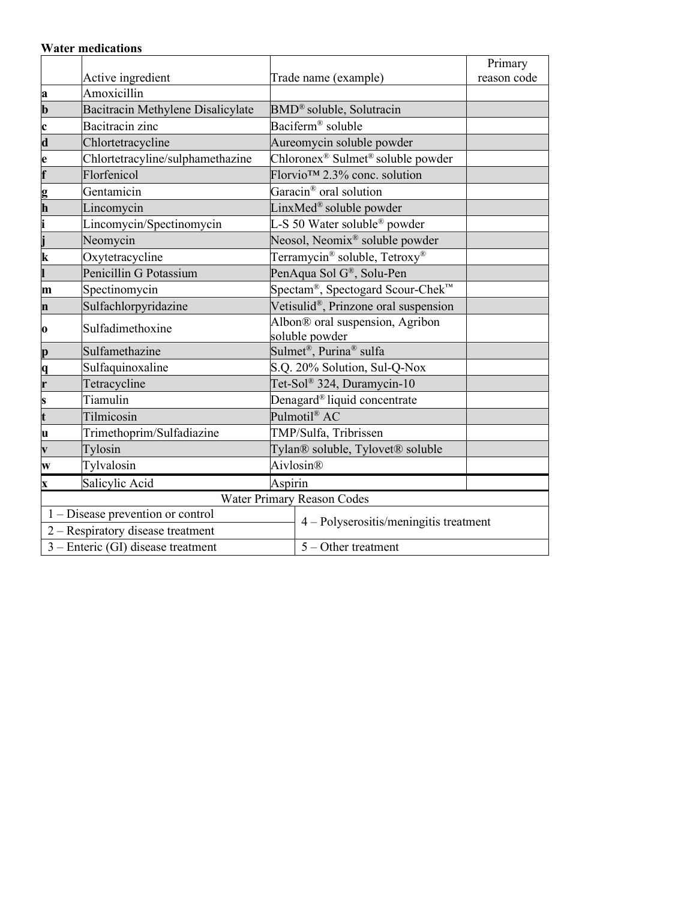|  |  | <b>Water medications</b> |
|--|--|--------------------------|
|--|--|--------------------------|

|                                                      |                                    |                                                           |                                               | Primary     |  |  |
|------------------------------------------------------|------------------------------------|-----------------------------------------------------------|-----------------------------------------------|-------------|--|--|
|                                                      | Active ingredient                  |                                                           | Trade name (example)                          | reason code |  |  |
| a                                                    | Amoxicillin                        |                                                           |                                               |             |  |  |
| $\mathbf b$                                          | Bacitracin Methylene Disalicylate  |                                                           | BMD <sup>®</sup> soluble, Solutracin          |             |  |  |
| $\mathbf c$                                          | Bacitracin zinc                    |                                                           | Baciferm <sup>®</sup> soluble                 |             |  |  |
| $\overline{\mathbf{d}}$                              | Chlortetracycline                  |                                                           | Aureomycin soluble powder                     |             |  |  |
| e                                                    | Chlortetracyline/sulphamethazine   | Chloronex <sup>®</sup> Sulmet <sup>®</sup> soluble powder |                                               |             |  |  |
| f                                                    | Florfenicol                        |                                                           | Florvio <sup>™</sup> 2.3% conc. solution      |             |  |  |
| g<br>h                                               | Gentamicin                         |                                                           | Garacin <sup>®</sup> oral solution            |             |  |  |
|                                                      | Lincomycin                         |                                                           | LinxMed <sup>®</sup> soluble powder           |             |  |  |
| i                                                    | Lincomycin/Spectinomycin           |                                                           | L-S 50 Water soluble <sup>®</sup> powder      |             |  |  |
|                                                      | Neomycin                           |                                                           | Neosol, Neomix <sup>®</sup> soluble powder    |             |  |  |
| $\bf k$                                              | Oxytetracycline                    | Terramycin <sup>®</sup> soluble, Tetroxy <sup>®</sup>     |                                               |             |  |  |
|                                                      | Penicillin G Potassium             |                                                           | PenAqua Sol G®, Solu-Pen                      |             |  |  |
| m                                                    | Spectinomycin                      |                                                           | Spectam <sup>®</sup> , Spectogard Scour-Chek™ |             |  |  |
| n                                                    | Sulfachlorpyridazine               |                                                           | Vetisulid®, Prinzone oral suspension          |             |  |  |
| Sulfadimethoxine                                     |                                    |                                                           | Albon® oral suspension, Agribon               |             |  |  |
| 0                                                    |                                    |                                                           | soluble powder                                |             |  |  |
| Sulfamethazine<br>p                                  |                                    |                                                           | Sulmet®, Purina® sulfa                        |             |  |  |
| q<br>r                                               | Sulfaquinoxaline                   |                                                           | S.Q. 20% Solution, Sul-Q-Nox                  |             |  |  |
|                                                      | Tetracycline                       |                                                           | Tet-Sol® 324, Duramycin-10                    |             |  |  |
| S                                                    | Tiamulin                           |                                                           | Denagard <sup>®</sup> liquid concentrate      |             |  |  |
| $\overline{\mathbf{t}}$                              | Tilmicosin                         |                                                           | Pulmotil® AC                                  |             |  |  |
| $\mathbf u$                                          | Trimethoprim/Sulfadiazine          |                                                           | TMP/Sulfa, Tribrissen                         |             |  |  |
| $\overline{\mathbf{v}}$                              | Tylosin                            |                                                           | Tylan® soluble, Tylovet® soluble              |             |  |  |
| W                                                    | Tylvalosin                         |                                                           | Aivlosin®                                     |             |  |  |
| Aspirin<br>Salicylic Acid<br>$\overline{\mathbf{X}}$ |                                    |                                                           |                                               |             |  |  |
|                                                      |                                    |                                                           | <b>Water Primary Reason Codes</b>             |             |  |  |
|                                                      | 1 - Disease prevention or control  |                                                           | $4 - Polyserositis/meningitis treatment$      |             |  |  |
|                                                      | 2 - Respiratory disease treatment  |                                                           |                                               |             |  |  |
|                                                      | 3 - Enteric (GI) disease treatment | $5 -$ Other treatment                                     |                                               |             |  |  |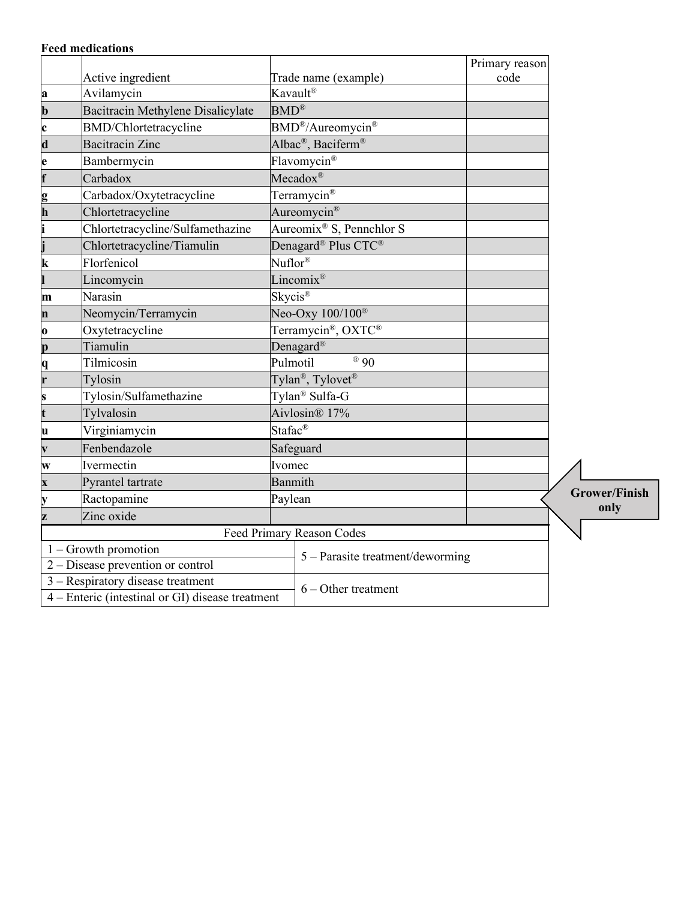| <b>Feed medications</b> |  |
|-------------------------|--|
|-------------------------|--|

|                           |                                                              |                            |                                            | Primary reason |                      |
|---------------------------|--------------------------------------------------------------|----------------------------|--------------------------------------------|----------------|----------------------|
|                           | Active ingredient                                            |                            | Trade name (example)                       | code           |                      |
| a                         | Avilamycin                                                   |                            | Kavault <sup>®</sup>                       |                |                      |
| $\mathbf b$               | Bacitracin Methylene Disalicylate                            | $BMD^{\circledR}$          |                                            |                |                      |
| $\mathbf c$               | <b>BMD/Chlortetracycline</b>                                 |                            | BMD <sup>®</sup> /Aureomycin <sup>®</sup>  |                |                      |
| $\overline{\mathbf{d}}$   | <b>Bacitracin</b> Zinc                                       |                            | Albac <sup>®</sup> , Baciferm <sup>®</sup> |                |                      |
| e                         | Bambermycin                                                  |                            | Flavomycin®                                |                |                      |
| $\overline{\mathbf{f}}$   | Carbadox                                                     |                            | Mecadox®                                   |                |                      |
| g<br>h                    | Carbadox/Oxytetracycline                                     |                            | Terramycin <sup>®</sup>                    |                |                      |
|                           | Chlortetracycline                                            |                            | Aureomycin <sup>®</sup>                    |                |                      |
|                           | Chlortetracycline/Sulfamethazine                             |                            | Aureomix <sup>®</sup> S, Pennchlor S       |                |                      |
|                           | Chlortetracycline/Tiamulin                                   |                            | Denagard <sup>®</sup> Plus CTC®            |                |                      |
| $\bf k$                   | Florfenicol                                                  |                            | $Nuflor^{\circledR}$                       |                |                      |
|                           | Lincomycin                                                   |                            | Lincomix <sup>®</sup>                      |                |                      |
| m                         | Narasin                                                      | Skycis®                    |                                            |                |                      |
| $\mathbf n$               | Neomycin/Terramycin                                          |                            | Neo-Oxy $100/100^{\circ}$                  |                |                      |
| $\mathbf 0$               | Oxytetracycline                                              |                            | Terramycin®, OXTC®                         |                |                      |
| p                         | Tiamulin                                                     |                            | Denagard <sup>®</sup>                      |                |                      |
| Tilmicosin<br>q           |                                                              |                            | Pulmotil<br>® 90                           |                |                      |
| r<br>Tylosin              |                                                              |                            | Tylan <sup>®</sup> , Tylovet <sup>®</sup>  |                |                      |
| s                         | Tylosin/Sulfamethazine                                       | Tylan <sup>®</sup> Sulfa-G |                                            |                |                      |
| t                         | Tylvalosin                                                   | Aivlosin® 17%              |                                            |                |                      |
| u                         | Virginiamycin                                                | Stafac <sup>®</sup>        |                                            |                |                      |
| $\overline{\mathbf{v}}$   | Fenbendazole                                                 |                            | Safeguard                                  |                |                      |
| W                         | Ivermectin                                                   | Ivomec                     |                                            |                |                      |
| $\overline{\mathbf{x}}$   | Pyrantel tartrate                                            |                            | Banmith                                    |                |                      |
| y                         | Ractopamine                                                  |                            | Paylean                                    |                | <b>Grower/Finish</b> |
| Z                         | Zinc oxide                                                   |                            |                                            |                | only                 |
| Feed Primary Reason Codes |                                                              |                            |                                            |                |                      |
|                           | $1 -$ Growth promotion                                       |                            | 5 – Parasite treatment/deworming           |                |                      |
|                           | $\overline{2-Di}$ sease prevention or control                |                            |                                            |                |                      |
|                           | $3 -$ Respiratory disease treatment                          |                            | $6 -$ Other treatment                      |                |                      |
|                           | $\overline{4 -$ Enteric (intestinal or GI) disease treatment |                            |                                            |                |                      |